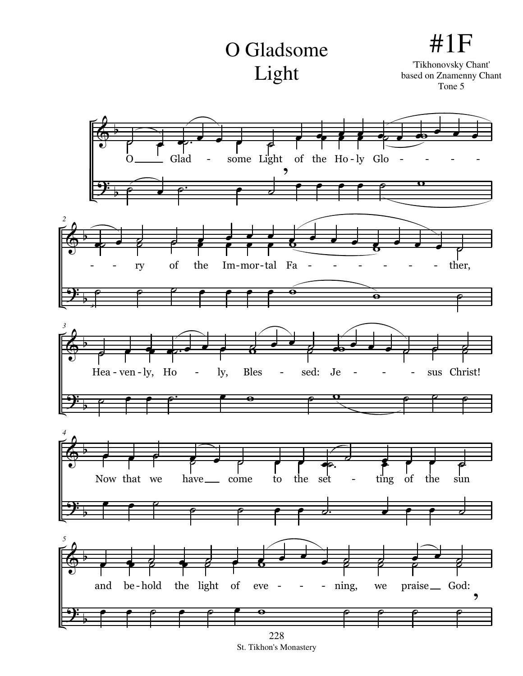## O Gladsome Light

#1F 'Tikhonovsky Chant' based on Znamenny Chant Tone 5



St. Tikhon's Monastery